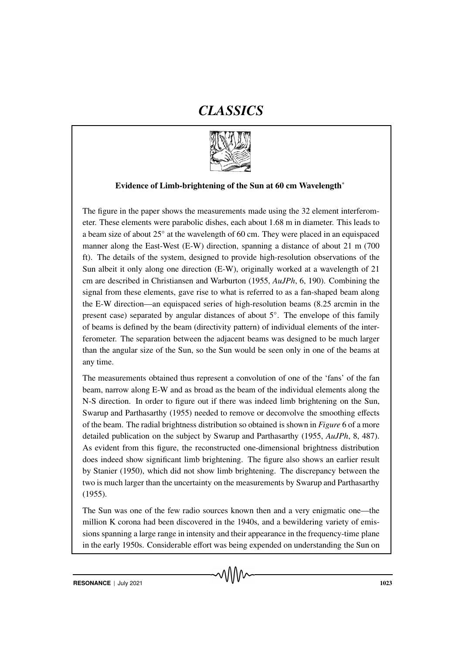# *CLASSICS*



## Evidence of Limb-brightening of the Sun at 60 cm Wavelength<sup>∗</sup>

The figure in the paper shows the measurements made using the 32 element interferometer. These elements were parabolic dishes, each about 1.68 m in diameter. This leads to a beam size of about 25° at the wavelength of 60 cm. They were placed in an equispaced manner along the East-West (E-W) direction, spanning a distance of about 21 m (700 ft). The details of the system, designed to provide high-resolution observations of the Sun albeit it only along one direction (E-W), originally worked at a wavelength of 21 cm are described in Christiansen and Warburton (1955, *AuJPh*, 6, 190). Combining the signal from these elements, gave rise to what is referred to as a fan-shaped beam along the E-W direction—an equispaced series of high-resolution beams (8.25 arcmin in the present case) separated by angular distances of about 5°. The envelope of this family of beams is defined by the beam (directivity pattern) of individual elements of the interferometer. The separation between the adjacent beams was designed to be much larger than the angular size of the Sun, so the Sun would be seen only in one of the beams at any time.

The measurements obtained thus represent a convolution of one of the 'fans' of the fan beam, narrow along E-W and as broad as the beam of the individual elements along the N-S direction. In order to figure out if there was indeed limb brightening on the Sun, Swarup and Parthasarthy (1955) needed to remove or deconvolve the smoothing effects of the beam. The radial brightness distribution so obtained is shown in *Figure* 6 of a more detailed publication on the subject by Swarup and Parthasarthy (1955, *AuJPh*, 8, 487). As evident from this figure, the reconstructed one-dimensional brightness distribution does indeed show significant limb brightening. The figure also shows an earlier result by Stanier (1950), which did not show limb brightening. The discrepancy between the two is much larger than the uncertainty on the measurements by Swarup and Parthasarthy (1955).

The Sun was one of the few radio sources known then and a very enigmatic one—the million K corona had been discovered in the 1940s, and a bewildering variety of emissions spanning a large range in intensity and their appearance in the frequency-time plane in the early 1950s. Considerable effort was being expended on understanding the Sun on

MNW

**RESONANCE** | July 2021 1023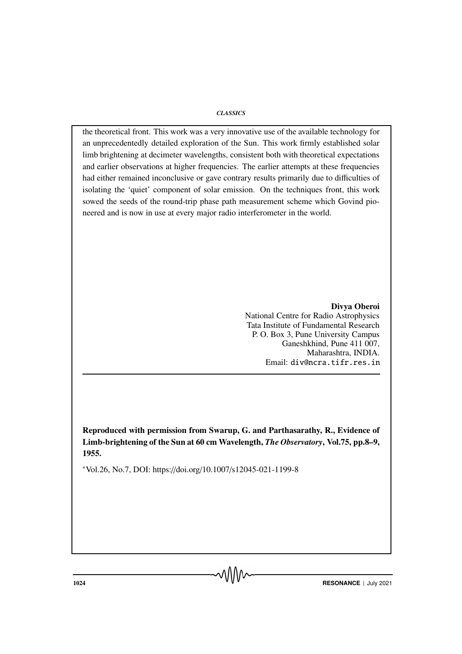#### *CLASSICS*

the theoretical front. This work was a very innovative use of the available technology for an unprecedentedly detailed exploration of the Sun. This work firmly established solar limb brightening at decimeter wavelengths, consistent both with theoretical expectations and earlier observations at higher frequencies. The earlier attempts at these frequencies had either remained inconclusive or gave contrary results primarily due to difficulties of isolating the 'quiet' component of solar emission. On the techniques front, this work sowed the seeds of the round-trip phase path measurement scheme which Govind pioneered and is now in use at every major radio interferometer in the world.

> Divya Oberoi National Centre for Radio Astrophysics Tata Institute of Fundamental Research P. O. Box 3, Pune University Campus Ganeshkhind, Pune 411 007, Maharashtra, INDIA. Email: div@ncra.tifr.res.in

Reproduced with permission from Swarup, G. and Parthasarathy, R., Evidence of Limb-brightening of the Sun at 60 cm Wavelength, *The Observatory*, Vol.75, pp.8–9, 1955.

<sup>∗</sup>Vol.26, No.7, DOI: https://doi.org/10.1007/s12045-021-1199-8

**1024 RESONANCE** | July 2021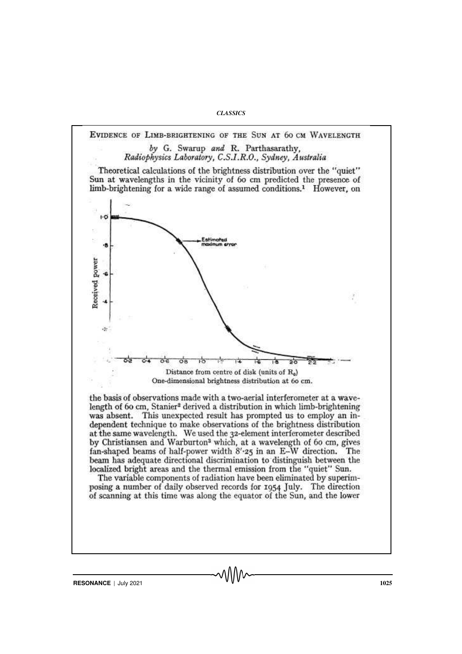*CLASSICS*